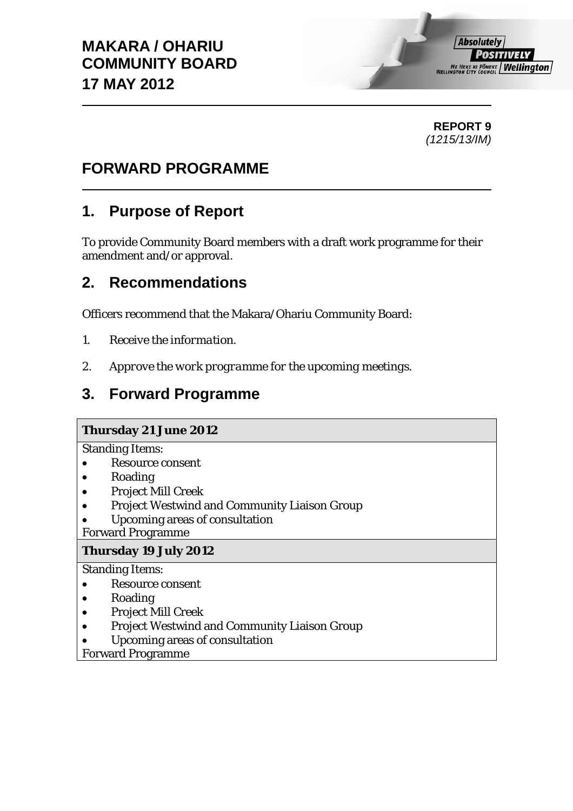**Absolutely** *POSITIVELY* **ME HEKE KI PÖNEKE Wellington** 

### **REPORT 9**  *(1215/13/IM)*

## **FORWARD PROGRAMME**

## **1. Purpose of Report**

To provide Community Board members with a draft work programme for their amendment and/or approval.

## **2. Recommendations**

Officers recommend that the Makara/Ohariu Community Board:

- *1. Receive the information.*
- *2. Approve the work programme for the upcoming meetings.*

# **3. Forward Programme**

#### **Thursday 21 June 2012**

Standing Items:

- Resource consent
- Roading
- Project Mill Creek
- **•** Project Westwind and Community Liaison Group
- Upcoming areas of consultation

Forward Programme

#### **Thursday 19 July 2012**

Standing Items:

- Resource consent
- Roading
- Project Mill Creek
- **•** Project Westwind and Community Liaison Group
- Upcoming areas of consultation

Forward Programme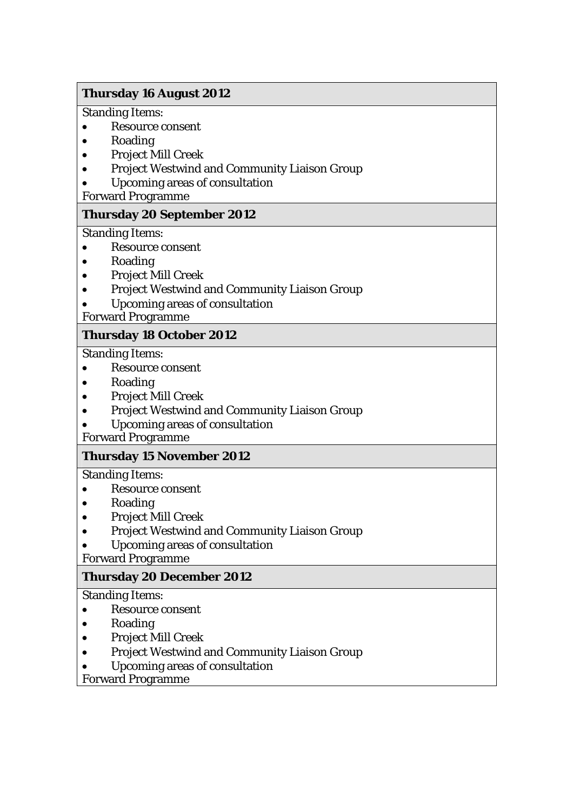#### **Thursday 16 August 2012**

Standing Items:

- Resource consent
- Roading
- Project Mill Creek
- Project Westwind and Community Liaison Group
- Upcoming areas of consultation

Forward Programme

#### **Thursday 20 September 2012**

Standing Items:

- Resource consent
- Roading
- Project Mill Creek
- Project Westwind and Community Liaison Group
- Upcoming areas of consultation
- Forward Programme

#### **Thursday 18 October 2012**

Standing Items:

- Resource consent
- Roading
- Project Mill Creek
- Project Westwind and Community Liaison Group
- Upcoming areas of consultation

Forward Programme

#### **Thursday 15 November 2012**

Standing Items:

- Resource consent
- Roading
- Project Mill Creek
- Project Westwind and Community Liaison Group
- Upcoming areas of consultation

Forward Programme

#### **Thursday 20 December 2012**

Standing Items:

- Resource consent
- Roading
- Project Mill Creek
- Project Westwind and Community Liaison Group
- Upcoming areas of consultation

Forward Programme